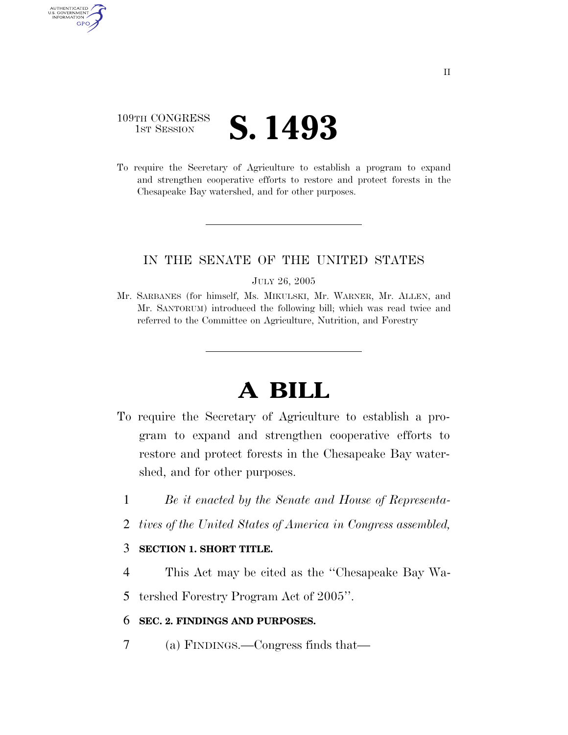# 109TH CONGRESS **IST SESSION S. 1493**

AUTHENTICATED U.S. GOVERNMENT **GPO** 

> To require the Secretary of Agriculture to establish a program to expand and strengthen cooperative efforts to restore and protect forests in the Chesapeake Bay watershed, and for other purposes.

### IN THE SENATE OF THE UNITED STATES

#### JULY 26, 2005

Mr. SARBANES (for himself, Ms. MIKULSKI, Mr. WARNER, Mr. ALLEN, and Mr. SANTORUM) introduced the following bill; which was read twice and referred to the Committee on Agriculture, Nutrition, and Forestry

# **A BILL**

- To require the Secretary of Agriculture to establish a program to expand and strengthen cooperative efforts to restore and protect forests in the Chesapeake Bay watershed, and for other purposes.
	- 1 *Be it enacted by the Senate and House of Representa-*
	- 2 *tives of the United States of America in Congress assembled,*

#### 3 **SECTION 1. SHORT TITLE.**

4 This Act may be cited as the ''Chesapeake Bay Wa-

5 tershed Forestry Program Act of 2005''.

#### 6 **SEC. 2. FINDINGS AND PURPOSES.**

7 (a) FINDINGS.—Congress finds that—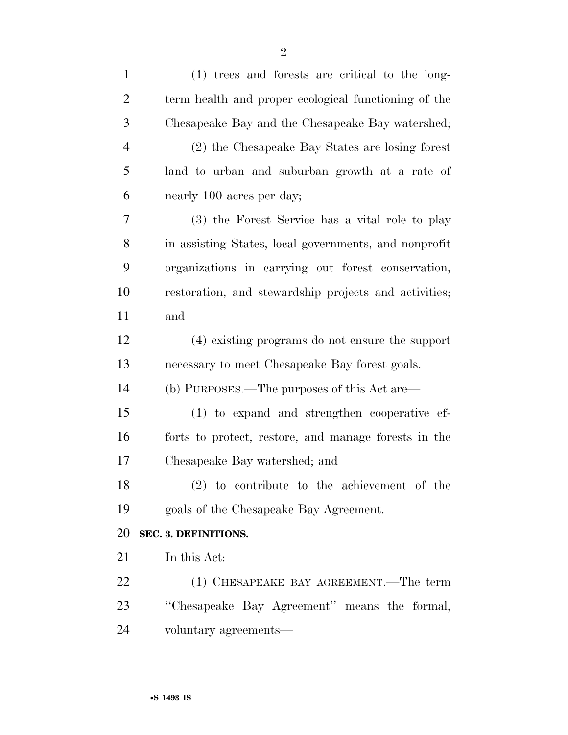| $\mathbf{1}$   | (1) trees and forests are critical to the long-       |
|----------------|-------------------------------------------------------|
| $\overline{2}$ | term health and proper ecological functioning of the  |
| 3              | Chesapeake Bay and the Chesapeake Bay watershed;      |
| $\overline{4}$ | (2) the Chesapeake Bay States are losing forest       |
| 5              | land to urban and suburban growth at a rate of        |
| 6              | nearly 100 acres per day;                             |
| 7              | (3) the Forest Service has a vital role to play       |
| 8              | in assisting States, local governments, and nonprofit |
| 9              | organizations in carrying out forest conservation,    |
| 10             | restoration, and stewardship projects and activities; |
| 11             | and                                                   |
| 12             | (4) existing programs do not ensure the support       |
| 13             | necessary to meet Chesapeake Bay forest goals.        |
| 14             | (b) PURPOSES.—The purposes of this Act are—           |
| 15             | (1) to expand and strengthen cooperative ef-          |
| 16             | forts to protect, restore, and manage forests in the  |
| 17             | Chesapeake Bay watershed; and                         |
| 18             | $(2)$ to contribute to the achievement of the         |
| 19             | goals of the Chesapeake Bay Agreement.                |
| 20             | SEC. 3. DEFINITIONS.                                  |
| 21             | In this Act:                                          |
| 22             | (1) CHESAPEAKE BAY AGREEMENT.—The term                |
| 23             | "Chesapeake Bay Agreement" means the formal,          |
| 24             | voluntary agreements—                                 |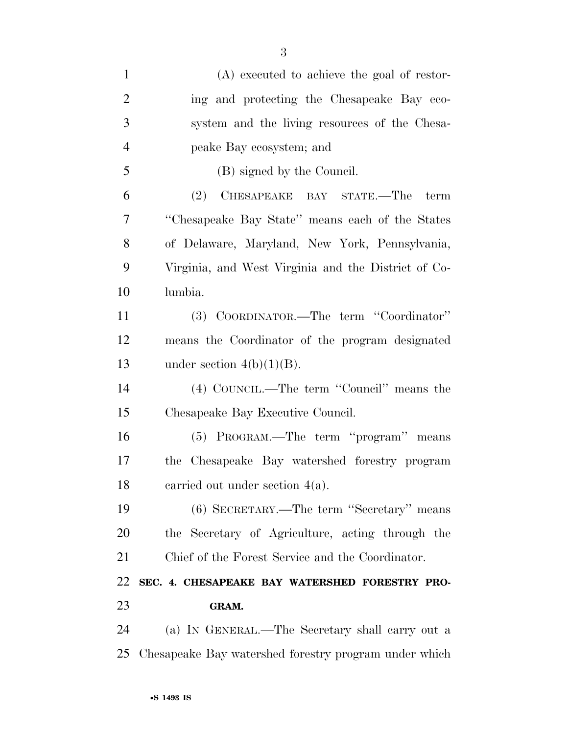| $\mathbf{1}$   | (A) executed to achieve the goal of restor-           |
|----------------|-------------------------------------------------------|
| $\overline{2}$ | ing and protecting the Chesapeake Bay eco-            |
| 3              | system and the living resources of the Chesa-         |
| $\overline{4}$ | peake Bay ecosystem; and                              |
| 5              | (B) signed by the Council.                            |
| 6              | (2)<br>CHESAPEAKE BAY STATE.—The<br>term              |
| 7              | "Chesapeake Bay State" means each of the States       |
| 8              | of Delaware, Maryland, New York, Pennsylvania,        |
| 9              | Virginia, and West Virginia and the District of Co-   |
| 10             | lumbia.                                               |
| 11             | (3) COORDINATOR.—The term "Coordinator"               |
| 12             | means the Coordinator of the program designated       |
| 13             | under section $4(b)(1)(B)$ .                          |
| 14             | (4) COUNCIL.—The term "Council" means the             |
| 15             | Chesapeake Bay Executive Council.                     |
| 16             | (5) PROGRAM.—The term "program" means                 |
| 17             | Chesapeake Bay watershed forestry program<br>the      |
| 18             | carried out under section $4(a)$ .                    |
| 19             | (6) SECRETARY.—The term "Secretary" means             |
| 20             | the Secretary of Agriculture, acting through the      |
| 21             | Chief of the Forest Service and the Coordinator.      |
| 22             | SEC. 4. CHESAPEAKE BAY WATERSHED FORESTRY PRO-        |
| 23             | GRAM.                                                 |
| 24             | (a) IN GENERAL.—The Secretary shall carry out a       |
| 25             | Chesapeake Bay watershed forestry program under which |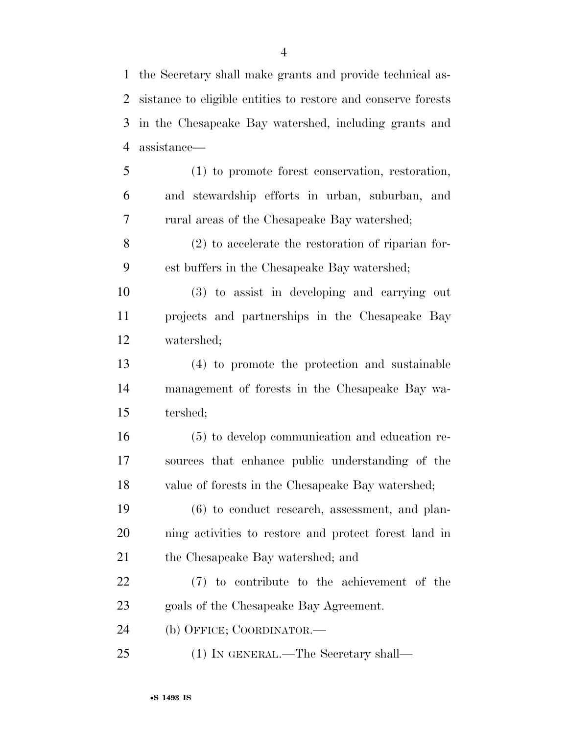the Secretary shall make grants and provide technical as- sistance to eligible entities to restore and conserve forests in the Chesapeake Bay watershed, including grants and assistance—

 (1) to promote forest conservation, restoration, and stewardship efforts in urban, suburban, and rural areas of the Chesapeake Bay watershed;

 (2) to accelerate the restoration of riparian for-est buffers in the Chesapeake Bay watershed;

 (3) to assist in developing and carrying out projects and partnerships in the Chesapeake Bay watershed;

 (4) to promote the protection and sustainable management of forests in the Chesapeake Bay wa-tershed;

 (5) to develop communication and education re- sources that enhance public understanding of the value of forests in the Chesapeake Bay watershed;

 (6) to conduct research, assessment, and plan- ning activities to restore and protect forest land in the Chesapeake Bay watershed; and

 (7) to contribute to the achievement of the goals of the Chesapeake Bay Agreement.

(b) OFFICE; COORDINATOR.—

(1) IN GENERAL.—The Secretary shall—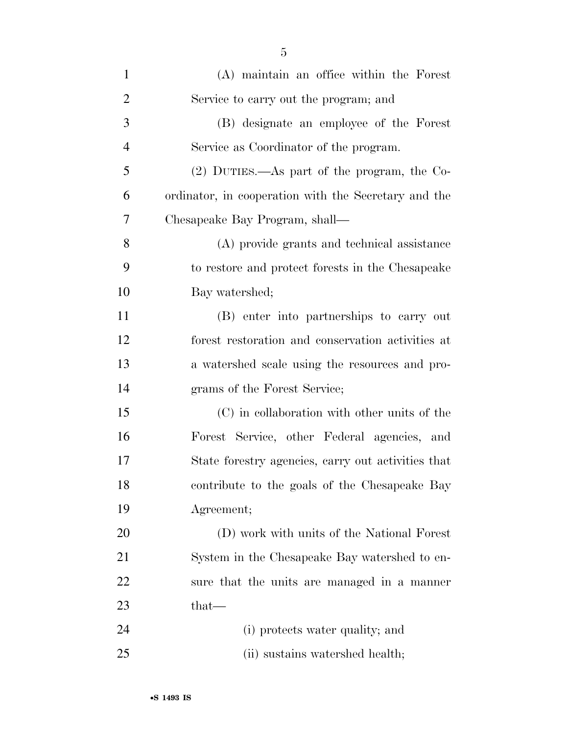| $\mathbf{1}$   | (A) maintain an office within the Forest             |
|----------------|------------------------------------------------------|
| $\overline{2}$ | Service to carry out the program; and                |
| 3              | (B) designate an employee of the Forest              |
| $\overline{4}$ | Service as Coordinator of the program.               |
| 5              | $(2)$ DUTIES.—As part of the program, the Co-        |
| 6              | ordinator, in cooperation with the Secretary and the |
| $\overline{7}$ | Chesapeake Bay Program, shall-                       |
| 8              | (A) provide grants and technical assistance          |
| 9              | to restore and protect forests in the Chesapeake     |
| 10             | Bay watershed;                                       |
| 11             | (B) enter into partnerships to carry out             |
| 12             | forest restoration and conservation activities at    |
| 13             | a watershed scale using the resources and pro-       |
| 14             | grams of the Forest Service;                         |
| 15             | (C) in collaboration with other units of the         |
| 16             | Forest Service, other Federal agencies, and          |
| 17             | State forestry agencies, carry out activities that   |
| 18             | contribute to the goals of the Chesapeake Bay        |
| 19             | Agreement;                                           |
| 20             | (D) work with units of the National Forest           |
| 21             | System in the Chesapeake Bay watershed to en-        |
| 22             | sure that the units are managed in a manner          |
| 23             | that—                                                |
| 24             | (i) protects water quality; and                      |
| 25             | (ii) sustains watershed health;                      |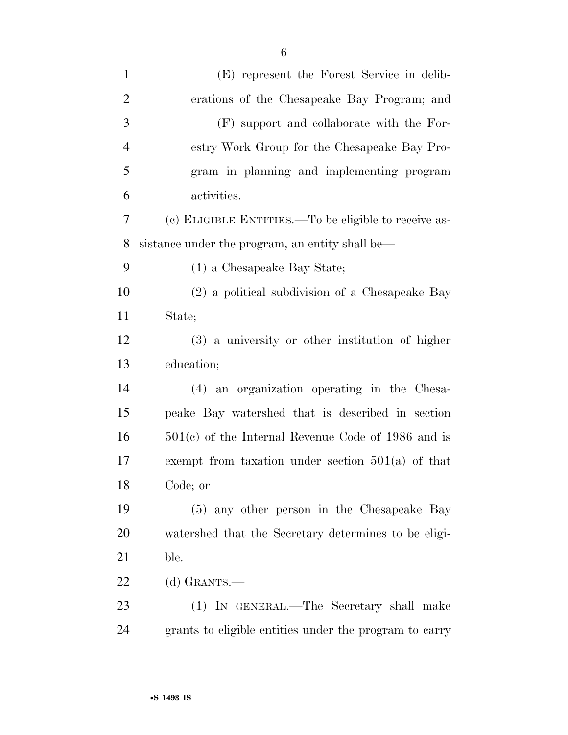| $\mathbf{1}$   | (E) represent the Forest Service in delib-             |
|----------------|--------------------------------------------------------|
| $\overline{2}$ | erations of the Chesapeake Bay Program; and            |
| 3              | (F) support and collaborate with the For-              |
| $\overline{4}$ | estry Work Group for the Chesapeake Bay Pro-           |
| 5              | gram in planning and implementing program              |
| 6              | activities.                                            |
| 7              | (c) ELIGIBLE ENTITIES.—To be eligible to receive as-   |
| 8              | sistance under the program, an entity shall be—        |
| 9              | (1) a Chesapeake Bay State;                            |
| 10             | (2) a political subdivision of a Chesapeake Bay        |
| 11             | State;                                                 |
| 12             | (3) a university or other institution of higher        |
| 13             | education;                                             |
| 14             | (4) an organization operating in the Chesa-            |
| 15             | peake Bay watershed that is described in section       |
| 16             | $501(c)$ of the Internal Revenue Code of 1986 and is   |
| 17             | exempt from taxation under section $501(a)$ of that    |
| 18             | Code; or                                               |
| 19             | (5) any other person in the Chesapeake Bay             |
| 20             | watershed that the Secretary determines to be eligi-   |
| 21             | ble.                                                   |
| 22             | (d) GRANTS.—                                           |
| 23             | (1) IN GENERAL.—The Secretary shall make               |
| 24             | grants to eligible entities under the program to carry |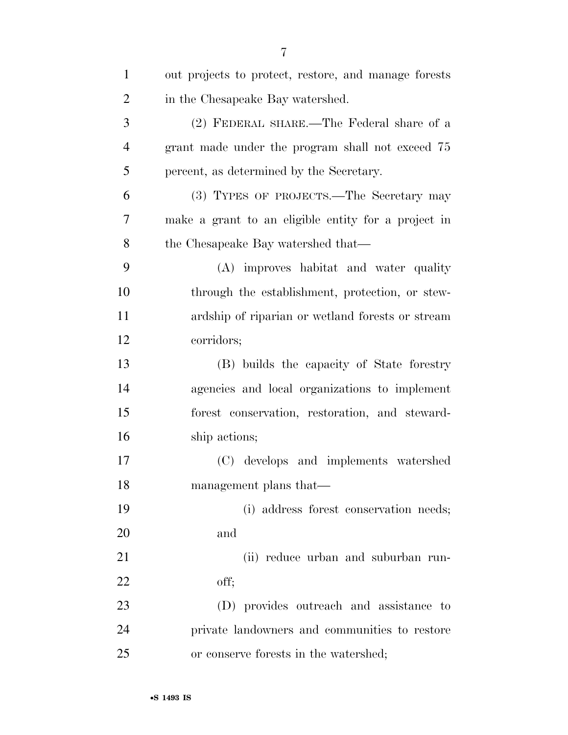| $\mathbf{1}$   | out projects to protect, restore, and manage forests |
|----------------|------------------------------------------------------|
| $\overline{2}$ | in the Chesapeake Bay watershed.                     |
| 3              | (2) FEDERAL SHARE.—The Federal share of a            |
| $\overline{4}$ | grant made under the program shall not exceed 75     |
| 5              | percent, as determined by the Secretary.             |
| 6              | (3) TYPES OF PROJECTS.—The Secretary may             |
| 7              | make a grant to an eligible entity for a project in  |
| 8              | the Chesapeake Bay watershed that—                   |
| 9              | (A) improves habitat and water quality               |
| 10             | through the establishment, protection, or stew-      |
| 11             | ardship of riparian or wetland forests or stream     |
| 12             | corridors;                                           |
| 13             | (B) builds the capacity of State forestry            |
| 14             | agencies and local organizations to implement        |
| 15             | forest conservation, restoration, and steward-       |
| 16             | ship actions;                                        |
| 17             | (C) develops and implements watershed                |
| 18             | management plans that—                               |
| 19             | (i) address forest conservation needs;               |
| 20             | and                                                  |
| 21             | (ii) reduce urban and suburban run-                  |
| 22             | off;                                                 |
| 23             | (D) provides outreach and assistance to              |
| 24             | private landowners and communities to restore        |
| 25             | or conserve forests in the watershed;                |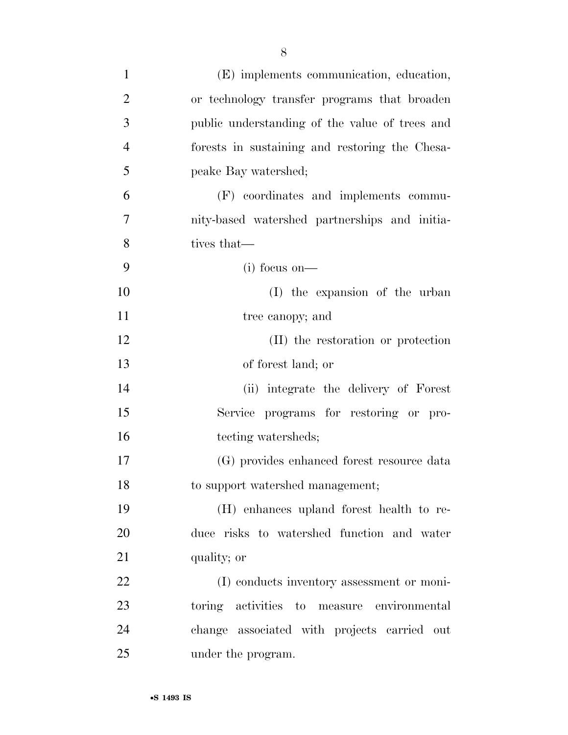| $\mathbf{1}$   | (E) implements communication, education,       |
|----------------|------------------------------------------------|
| $\overline{2}$ | or technology transfer programs that broaden   |
| 3              | public understanding of the value of trees and |
| $\overline{4}$ | forests in sustaining and restoring the Chesa- |
| 5              | peake Bay watershed;                           |
| 6              | (F) coordinates and implements commu-          |
| 7              | nity-based watershed partnerships and initia-  |
| 8              | tives that—                                    |
| 9              | $(i)$ focus on—                                |
| 10             | (I) the expansion of the urban                 |
| 11             | tree canopy; and                               |
| 12             | (II) the restoration or protection             |
| 13             | of forest land; or                             |
| 14             | (ii) integrate the delivery of Forest          |
| 15             | Service programs for restoring or pro-         |
| 16             | tecting watersheds;                            |
| 17             | (G) provides enhanced forest resource data     |
| 18             | to support watershed management;               |
| 19             | (H) enhances upland forest health to re-       |
| 20             | duce risks to watershed function and water     |
| 21             | quality; or                                    |
| 22             | (I) conducts inventory assessment or moni-     |
| 23             | toring activities to measure environmental     |
| 24             | change associated with projects carried out    |
| 25             | under the program.                             |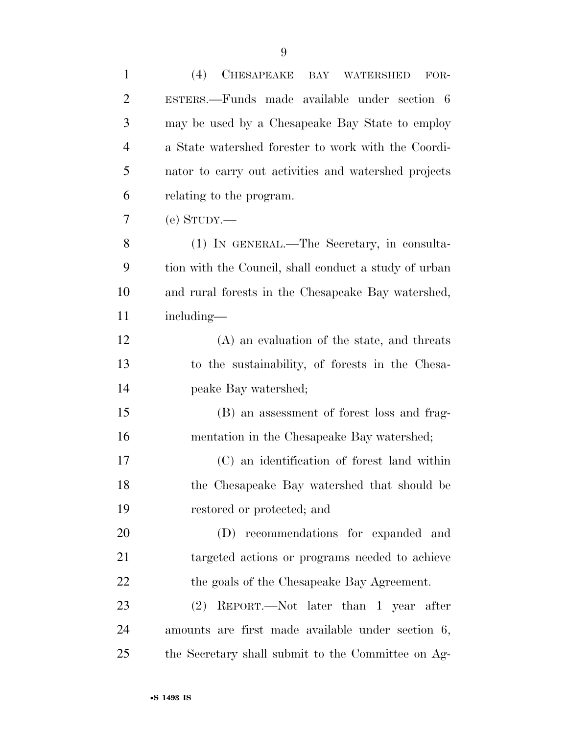| $\mathbf{1}$   | (4)<br><b>CHESAPEAKE</b><br>BAY<br><b>WATERSHED</b><br>FOR- |
|----------------|-------------------------------------------------------------|
| $\overline{2}$ | ESTERS.—Funds made available under section 6                |
| 3              | may be used by a Chesapeake Bay State to employ             |
| $\overline{4}$ | a State watershed forester to work with the Coordi-         |
| 5              | nator to carry out activities and watershed projects        |
| 6              | relating to the program.                                    |
| 7              | $(e)$ STUDY.—                                               |
| 8              | (1) IN GENERAL.—The Secretary, in consulta-                 |
| 9              | tion with the Council, shall conduct a study of urban       |
| 10             | and rural forests in the Chesapeake Bay watershed,          |
| 11             | including—                                                  |
| 12             | (A) an evaluation of the state, and threats                 |
| 13             | to the sustainability, of forests in the Chesa-             |
| 14             | peake Bay watershed;                                        |
| 15             | (B) an assessment of forest loss and frag-                  |
| 16             | mentation in the Chesapeake Bay watershed;                  |
| 17             | (C) an identification of forest land within                 |
| 18             | the Chesapeake Bay watershed that should be                 |
| 19             | restored or protected; and                                  |
| 20             | (D) recommendations for expanded and                        |
| 21             | targeted actions or programs needed to achieve              |
| 22             | the goals of the Chesapeake Bay Agreement.                  |
| 23             | (2) REPORT.—Not later than 1 year after                     |
| 24             | amounts are first made available under section 6,           |
| 25             | the Secretary shall submit to the Committee on Ag-          |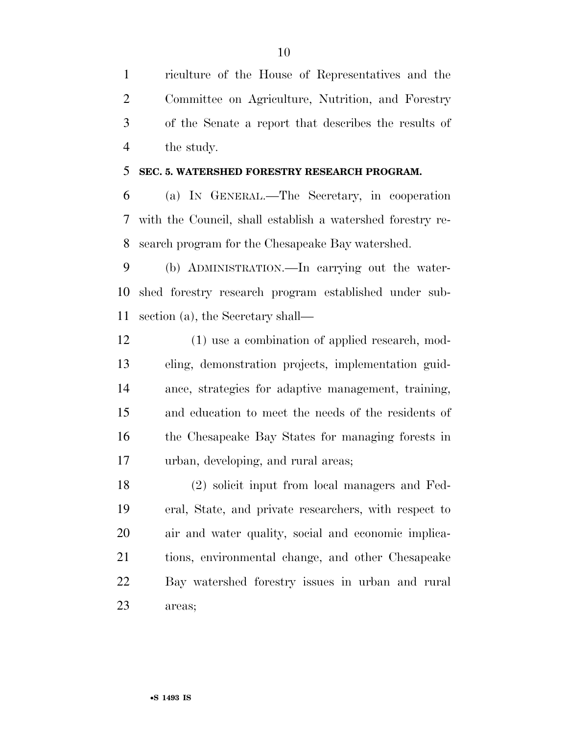riculture of the House of Representatives and the Committee on Agriculture, Nutrition, and Forestry of the Senate a report that describes the results of the study.

#### **SEC. 5. WATERSHED FORESTRY RESEARCH PROGRAM.**

 (a) IN GENERAL.—The Secretary, in cooperation with the Council, shall establish a watershed forestry re-search program for the Chesapeake Bay watershed.

 (b) ADMINISTRATION.—In carrying out the water- shed forestry research program established under sub-section (a), the Secretary shall—

 (1) use a combination of applied research, mod- eling, demonstration projects, implementation guid- ance, strategies for adaptive management, training, and education to meet the needs of the residents of the Chesapeake Bay States for managing forests in urban, developing, and rural areas;

 (2) solicit input from local managers and Fed- eral, State, and private researchers, with respect to air and water quality, social and economic implica- tions, environmental change, and other Chesapeake Bay watershed forestry issues in urban and rural areas;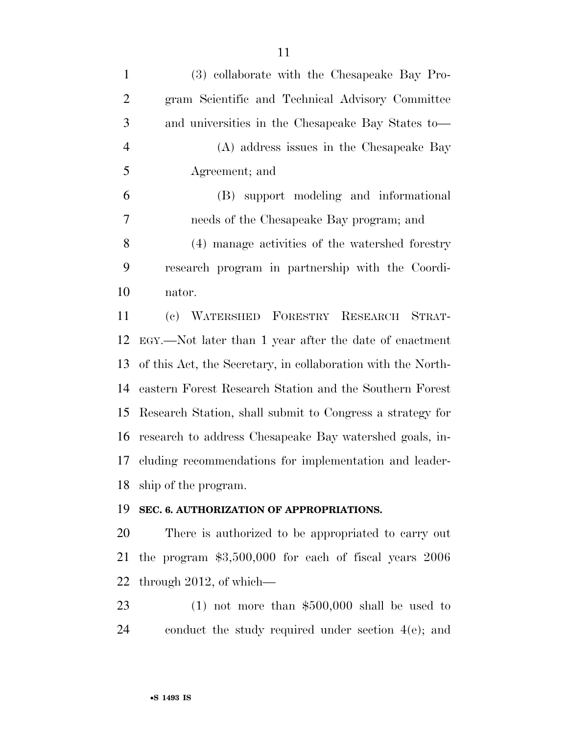| $\mathbf{1}$   | (3) collaborate with the Chesapeake Bay Pro-                 |
|----------------|--------------------------------------------------------------|
| $\overline{2}$ | gram Scientific and Technical Advisory Committee             |
| 3              | and universities in the Chesapeake Bay States to—            |
| $\overline{4}$ | (A) address issues in the Chesapeake Bay                     |
| 5              | Agreement; and                                               |
| 6              | (B) support modeling and informational                       |
| 7              | needs of the Chesapeake Bay program; and                     |
| 8              | (4) manage activities of the watershed forestry              |
| 9              | research program in partnership with the Coordi-             |
| 10             | nator.                                                       |
| 11             | (c) WATERSHED FORESTRY RESEARCH STRAT-                       |
| 12             | EGY.—Not later than 1 year after the date of enactment       |
| 13             | of this Act, the Secretary, in collaboration with the North- |
| 14             | eastern Forest Research Station and the Southern Forest      |
| 15             | Research Station, shall submit to Congress a strategy for    |
| 16             | research to address Chesapeake Bay watershed goals, in-      |
| 17             | cluding recommendations for implementation and leader-       |
|                | 18 ship of the program.                                      |
| 19             | SEC. 6. AUTHORIZATION OF APPROPRIATIONS.                     |
| 20             | There is authorized to be appropriated to carry out          |
| 21             | the program $$3,500,000$ for each of fiscal years $2006$     |
| 22             | through $2012$ , of which—                                   |
| 23             | $(1)$ not more than \$500,000 shall be used to               |
| 24             | conduct the study required under section $4(e)$ ; and        |
|                |                                                              |